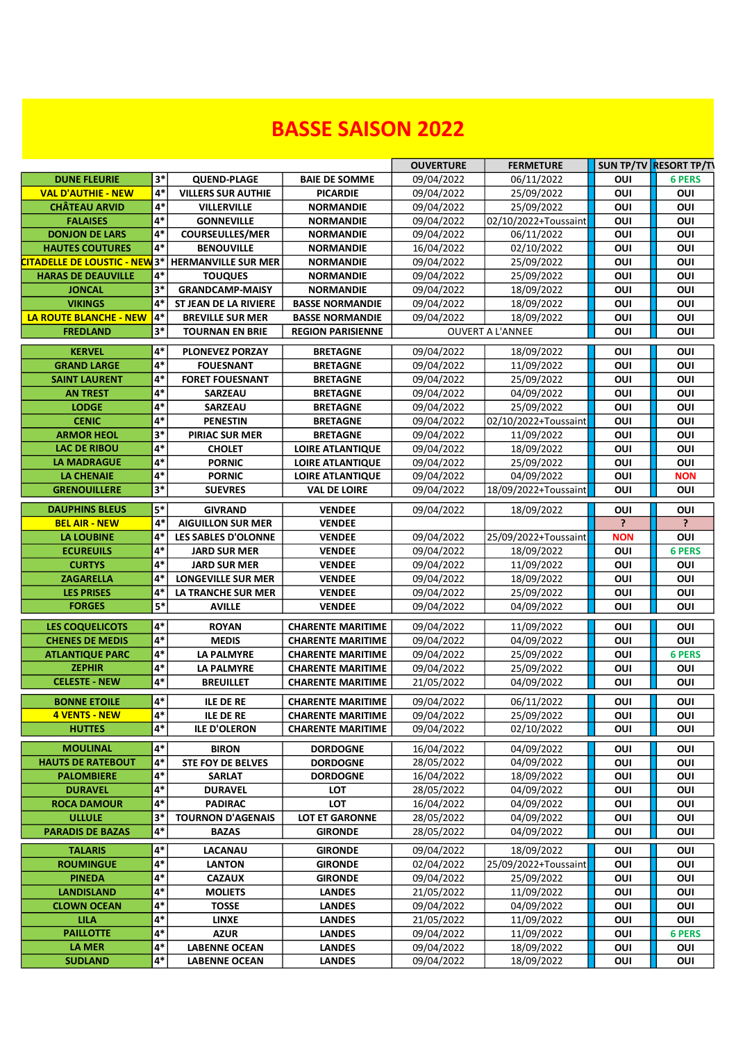## **BASSE SAISON 2022**

|                               |            |                              |                          | <b>OUVERTURE</b> | <b>FERMETURE</b>        |            | SUN TP/TV RESORT TP/TV |
|-------------------------------|------------|------------------------------|--------------------------|------------------|-------------------------|------------|------------------------|
| <b>DUNE FLEURIE</b>           | 3*         | <b>QUEND-PLAGE</b>           | <b>BAIE DE SOMME</b>     | 09/04/2022       | 06/11/2022              | OUI        | <b>6 PERS</b>          |
| <b>VAL D'AUTHIE - NEW</b>     | $4*$       | <b>VILLERS SUR AUTHIE</b>    | <b>PICARDIE</b>          | 09/04/2022       | 25/09/2022              | OUI        | OUI                    |
| <b>CHÂTEAU ARVID</b>          | $4*$       | <b>VILLERVILLE</b>           | <b>NORMANDIE</b>         | 09/04/2022       | 25/09/2022              | OUI        | OUI                    |
| <b>FALAISES</b>               | 4*         | <b>GONNEVILLE</b>            | <b>NORMANDIE</b>         | 09/04/2022       | 02/10/2022+Toussaint    | OUI        | OUI                    |
| <b>DONJON DE LARS</b>         | 4*         | <b>COURSEULLES/MER</b>       | <b>NORMANDIE</b>         | 09/04/2022       | 06/11/2022              | OUI        | OUI                    |
| <b>HAUTES COUTURES</b>        | 4*         | <b>BENOUVILLE</b>            | <b>NORMANDIE</b>         | 16/04/2022       | 02/10/2022              | OUI        | OUI                    |
| CITADELLE DE LOUSTIC - NEW 3* |            | <b>HERMANVILLE SUR MER</b>   | <b>NORMANDIE</b>         | 09/04/2022       | 25/09/2022              | OUI        | OUI                    |
| <b>HARAS DE DEAUVILLE</b>     | 4*         | <b>TOUQUES</b>               | <b>NORMANDIE</b>         | 09/04/2022       | 25/09/2022              | OUI        | OUI                    |
| <b>JONCAL</b>                 | $3*$       | <b>GRANDCAMP-MAISY</b>       | <b>NORMANDIE</b>         | 09/04/2022       | 18/09/2022              | OUI        | OUI                    |
| <b>VIKINGS</b>                | 4*         | <b>ST JEAN DE LA RIVIERE</b> | <b>BASSE NORMANDIE</b>   | 09/04/2022       | 18/09/2022              | OUI        | OUI                    |
| <b>LA ROUTE BLANCHE - NEW</b> | $4*$       | <b>BREVILLE SUR MER</b>      | <b>BASSE NORMANDIE</b>   | 09/04/2022       | 18/09/2022              | OUI        | OUI                    |
| <b>FREDLAND</b>               | 3*         | <b>TOURNAN EN BRIE</b>       | <b>REGION PARISIENNE</b> |                  | <b>OUVERT A L'ANNEE</b> | OUI        | OUI                    |
| <b>KERVEL</b>                 | 4*         | <b>PLONEVEZ PORZAY</b>       | <b>BRETAGNE</b>          | 09/04/2022       | 18/09/2022              | OUI        | OUI                    |
| <b>GRAND LARGE</b>            | 4*         | <b>FOUESNANT</b>             | <b>BRETAGNE</b>          | 09/04/2022       | 11/09/2022              | OUI        | OUI                    |
| <b>SAINT LAURENT</b>          | 4*         | <b>FORET FOUESNANT</b>       | <b>BRETAGNE</b>          | 09/04/2022       | 25/09/2022              | OUI        | OUI                    |
| <b>AN TREST</b>               | $4*$       | <b>SARZEAU</b>               | <b>BRETAGNE</b>          | 09/04/2022       | 04/09/2022              | OUI        | OUI                    |
| <b>LODGE</b>                  | $4*$       | <b>SARZEAU</b>               | <b>BRETAGNE</b>          | 09/04/2022       | 25/09/2022              | OUI        | OUI                    |
| <b>CENIC</b>                  | $4*$       | <b>PENESTIN</b>              | <b>BRETAGNE</b>          | 09/04/2022       | 02/10/2022+Toussaint    | OUI        | OUI                    |
| <b>ARMOR HEOL</b>             | $3*$       | <b>PIRIAC SUR MER</b>        | <b>BRETAGNE</b>          | 09/04/2022       | 11/09/2022              | OUI        | OUI                    |
| <b>LAC DE RIBOU</b>           | 4*         | <b>CHOLET</b>                | <b>LOIRE ATLANTIQUE</b>  | 09/04/2022       | 18/09/2022              | OUI        | OUI                    |
| <b>LA MADRAGUE</b>            | 4*         | <b>PORNIC</b>                | <b>LOIRE ATLANTIQUE</b>  | 09/04/2022       | 25/09/2022              | OUI        | OUI                    |
| <b>LA CHENAIE</b>             | $4*$       | <b>PORNIC</b>                | <b>LOIRE ATLANTIQUE</b>  | 09/04/2022       | 04/09/2022              | OUI        | <b>NON</b>             |
| <b>GRENOUILLERE</b>           | $3*$       | <b>SUEVRES</b>               | <b>VAL DE LOIRE</b>      | 09/04/2022       | 18/09/2022+Toussaint    | OUI        | OUI                    |
| <b>DAUPHINS BLEUS</b>         | $5*$       | <b>GIVRAND</b>               | <b>VENDEE</b>            | 09/04/2022       | 18/09/2022              | OUI        | OUI                    |
| <b>BEL AIR - NEW</b>          | 4*         | <b>AIGUILLON SUR MER</b>     | <b>VENDEE</b>            |                  |                         | P.         | ?                      |
| LA LOUBINE                    | $4*$       | LES SABLES D'OLONNE          | <b>VENDEE</b>            | 09/04/2022       | 25/09/2022+Toussaint    | <b>NON</b> | OUI                    |
| <b>ECUREUILS</b>              | $4*$       | <b>JARD SUR MER</b>          | <b>VENDEE</b>            | 09/04/2022       | 18/09/2022              | OUI        | <b>6 PERS</b>          |
| <b>CURTYS</b>                 | 4*         | <b>JARD SUR MER</b>          | <b>VENDEE</b>            | 09/04/2022       | 11/09/2022              | OUI        | OUI                    |
| <b>ZAGARELLA</b>              | 4*         | <b>LONGEVILLE SUR MER</b>    | <b>VENDEE</b>            | 09/04/2022       | 18/09/2022              | OUI        | OUI                    |
| <b>LES PRISES</b>             | 4*         | LA TRANCHE SUR MER           | <b>VENDEE</b>            | 09/04/2022       | 25/09/2022              | OUI        | OUI                    |
| <b>FORGES</b>                 | $5*$       | <b>AVILLE</b>                | <b>VENDEE</b>            | 09/04/2022       | 04/09/2022              | OUI        | OUI                    |
|                               |            |                              |                          |                  |                         |            |                        |
| <b>LES COQUELICOTS</b>        | 4*<br>$4*$ | <b>ROYAN</b>                 | <b>CHARENTE MARITIME</b> | 09/04/2022       | 11/09/2022              | OUI        | OUI                    |
| <b>CHENES DE MEDIS</b>        | $4*$       | <b>MEDIS</b>                 | <b>CHARENTE MARITIME</b> | 09/04/2022       | 04/09/2022              | OUI        | OUI                    |
| <b>ATLANTIQUE PARC</b>        | $4*$       | <b>LA PALMYRE</b>            | <b>CHARENTE MARITIME</b> | 09/04/2022       | 25/09/2022              | OUI        | <b>6 PERS</b>          |
| <b>ZEPHIR</b>                 |            | <b>LA PALMYRE</b>            | <b>CHARENTE MARITIME</b> | 09/04/2022       | 25/09/2022              | OUI        | OUI                    |
| <b>CELESTE - NEW</b>          | $4*$       | <b>BREUILLET</b>             | <b>CHARENTE MARITIME</b> | 21/05/2022       | 04/09/2022              | OUI        | OUI                    |
| <b>BONNE ETOILE</b>           | $4*$       | <b>ILE DE RE</b>             | <b>CHARENTE MARITIME</b> | 09/04/2022       | 06/11/2022              | OUI        | OUI                    |
| <b>4 VENTS - NEW</b>          | $4*$       | ILE DE RE                    | <b>CHARENTE MARITIME</b> | 09/04/2022       | 25/09/2022              | OUI        | OUI                    |
| <b>HUTTES</b>                 | $4*$       | <b>ILE D'OLERON</b>          | <b>CHARENTE MARITIME</b> | 09/04/2022       | 02/10/2022              | OUI        | OUI                    |
| <b>MOULINAL</b>               | 4*         | <b>BIRON</b>                 | <b>DORDOGNE</b>          | 16/04/2022       | 04/09/2022              | Ουι        | OUI                    |
| <b>HAUTS DE RATEBOUT</b>      | 4*         | <b>STE FOY DE BELVES</b>     | <b>DORDOGNE</b>          | 28/05/2022       | 04/09/2022              | OUI        | OUI                    |
| <b>PALOMBIERE</b>             | $4*$       | <b>SARLAT</b>                | <b>DORDOGNE</b>          | 16/04/2022       | 18/09/2022              | Ουι        | OUI                    |
| <b>DURAVEL</b>                | 4*         | <b>DURAVEL</b>               | LOT                      | 28/05/2022       | 04/09/2022              | Ουι        | OUI                    |
| <b>ROCA DAMOUR</b>            | $4*$       | <b>PADIRAC</b>               | <b>LOT</b>               | 16/04/2022       | 04/09/2022              | OUI        | OUI                    |
| <b>ULLULE</b>                 | $3*$       | <b>TOURNON D'AGENAIS</b>     | <b>LOT ET GARONNE</b>    | 28/05/2022       | 04/09/2022              | OUI        | OUI                    |
| <b>PARADIS DE BAZAS</b>       | $4*$       | <b>BAZAS</b>                 | <b>GIRONDE</b>           | 28/05/2022       | 04/09/2022              | OUI        | OUI                    |
| <b>TALARIS</b>                | $4*$       | LACANAU                      | <b>GIRONDE</b>           | 09/04/2022       | 18/09/2022              | Ουι        | OUI                    |
| <b>ROUMINGUE</b>              | 4*         | <b>LANTON</b>                | <b>GIRONDE</b>           | 02/04/2022       | 25/09/2022+Toussaint    | Ουι        | OUI                    |
| <b>PINEDA</b>                 | 4*         | <b>CAZAUX</b>                | <b>GIRONDE</b>           | 09/04/2022       | 25/09/2022              | OUI        | OUI                    |
| <b>LANDISLAND</b>             | $4*$       | <b>MOLIETS</b>               | <b>LANDES</b>            | 21/05/2022       | 11/09/2022              | OUI        | OUI                    |
| <b>CLOWN OCEAN</b>            | $4*$       | <b>TOSSE</b>                 | <b>LANDES</b>            | 09/04/2022       | 04/09/2022              | OUI        | OUI                    |
| <b>LILA</b>                   | $4*$       | <b>LINXE</b>                 | <b>LANDES</b>            | 21/05/2022       | 11/09/2022              | OUI        | OUI                    |
| <b>PAILLOTTE</b>              | 4*         | <b>AZUR</b>                  | <b>LANDES</b>            | 09/04/2022       | 11/09/2022              | OUI        | <b>6 PERS</b>          |
| LA MER                        | 4*         | <b>LABENNE OCEAN</b>         | <b>LANDES</b>            | 09/04/2022       | 18/09/2022              | OUI        | OUI                    |
| <b>SUDLAND</b>                | $4*$       | <b>LABENNE OCEAN</b>         | <b>LANDES</b>            | 09/04/2022       | 18/09/2022              | OUI        | OUI                    |